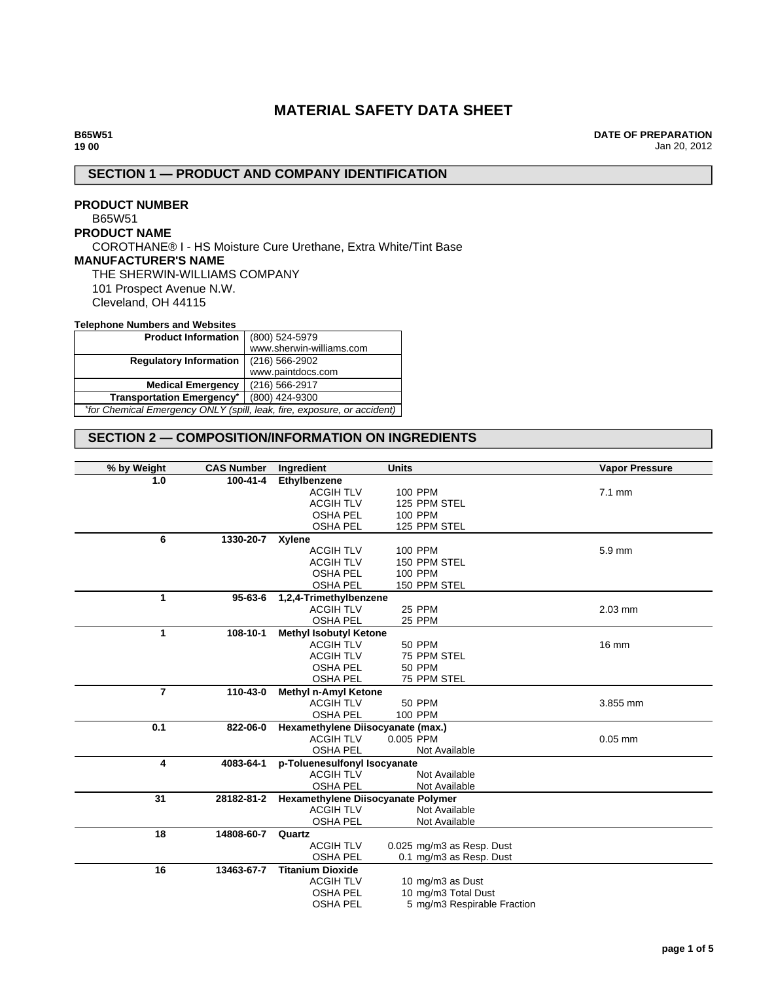# **MATERIAL SAFETY DATA SHEET**

**DATE OF PREPARATION** Jan 20, 2012

# **SECTION 1 — PRODUCT AND COMPANY IDENTIFICATION**

### **PRODUCT NUMBER** B65W51 **PRODUCT NAME** COROTHANE® I - HS Moisture Cure Urethane, Extra White/Tint Base **MANUFACTURER'S NAME** THE SHERWIN-WILLIAMS COMPANY 101 Prospect Avenue N.W. Cleveland, OH 44115

#### **Telephone Numbers and Websites**

| <b>Product Information</b>                                              | (800) 524-5979           |  |
|-------------------------------------------------------------------------|--------------------------|--|
|                                                                         | www.sherwin-williams.com |  |
| <b>Regulatory Information</b>                                           | $(216) 566 - 2902$       |  |
|                                                                         | www.paintdocs.com        |  |
| <b>Medical Emergency</b>                                                | (216) 566-2917           |  |
| <b>Transportation Emergency*</b>                                        | (800) 424-9300           |  |
| *for Chemical Emergency ONLY (spill, leak, fire, exposure, or accident) |                          |  |

### **SECTION 2 — COMPOSITION/INFORMATION ON INGREDIENTS**

| % by Weight    | <b>CAS Number</b> | Ingredient                         | <b>Units</b>                | <b>Vapor Pressure</b> |
|----------------|-------------------|------------------------------------|-----------------------------|-----------------------|
| 1.0            | 100-41-4          | Ethylbenzene                       |                             |                       |
|                |                   | <b>ACGIH TLV</b>                   | 100 PPM                     | $7.1 \text{ mm}$      |
|                |                   | <b>ACGIH TLV</b>                   | 125 PPM STEL                |                       |
|                |                   | <b>OSHA PEL</b>                    | 100 PPM                     |                       |
|                |                   | <b>OSHA PEL</b>                    | 125 PPM STEL                |                       |
| 6              | 1330-20-7         | Xylene                             |                             |                       |
|                |                   | <b>ACGIH TLV</b>                   | 100 PPM                     | 5.9 mm                |
|                |                   | <b>ACGIH TLV</b>                   | 150 PPM STEL                |                       |
|                |                   | <b>OSHA PEL</b>                    | 100 PPM                     |                       |
|                |                   | <b>OSHA PEL</b>                    | 150 PPM STEL                |                       |
| 1              | $95 - 63 - 6$     | 1,2,4-Trimethylbenzene             |                             |                       |
|                |                   | <b>ACGIH TLV</b>                   | 25 PPM                      | 2.03 mm               |
|                |                   | <b>OSHA PEL</b>                    | <b>25 PPM</b>               |                       |
| 1              | 108-10-1          | <b>Methyl Isobutyl Ketone</b>      |                             |                       |
|                |                   | <b>ACGIH TLV</b>                   | <b>50 PPM</b>               | 16 mm                 |
|                |                   | <b>ACGIH TLV</b>                   | 75 PPM STEL                 |                       |
|                |                   | <b>OSHA PEL</b>                    | <b>50 PPM</b>               |                       |
|                |                   | <b>OSHA PEL</b>                    | 75 PPM STEL                 |                       |
| $\overline{7}$ | 110-43-0          | <b>Methyl n-Amyl Ketone</b>        |                             |                       |
|                |                   | <b>ACGIH TLV</b>                   | <b>50 PPM</b>               | 3.855 mm              |
|                |                   | <b>OSHA PEL</b>                    | 100 PPM                     |                       |
| 0.1            | 822-06-0          | Hexamethylene Diisocyanate (max.)  |                             |                       |
|                |                   | <b>ACGIH TLV</b>                   | 0.005 PPM                   | $0.05$ mm             |
|                |                   | <b>OSHA PEL</b>                    | Not Available               |                       |
| 4              | 4083-64-1         | p-Toluenesulfonyl Isocyanate       |                             |                       |
|                |                   | <b>ACGIH TLV</b>                   | Not Available               |                       |
|                |                   | <b>OSHA PEL</b>                    | Not Available               |                       |
| 31             | 28182-81-2        | Hexamethylene Diisocyanate Polymer |                             |                       |
|                |                   | <b>ACGIH TLV</b>                   | Not Available               |                       |
|                |                   | <b>OSHA PEL</b>                    | Not Available               |                       |
| 18             | 14808-60-7        | Quartz                             |                             |                       |
|                |                   | <b>ACGIH TLV</b>                   | 0.025 mg/m3 as Resp. Dust   |                       |
|                |                   | <b>OSHA PEL</b>                    | 0.1 mg/m3 as Resp. Dust     |                       |
| 16             | 13463-67-7        | <b>Titanium Dioxide</b>            |                             |                       |
|                |                   | <b>ACGIH TLV</b>                   | 10 mg/m3 as Dust            |                       |
|                |                   | <b>OSHA PEL</b>                    | 10 mg/m3 Total Dust         |                       |
|                |                   | <b>OSHA PEL</b>                    | 5 mg/m3 Respirable Fraction |                       |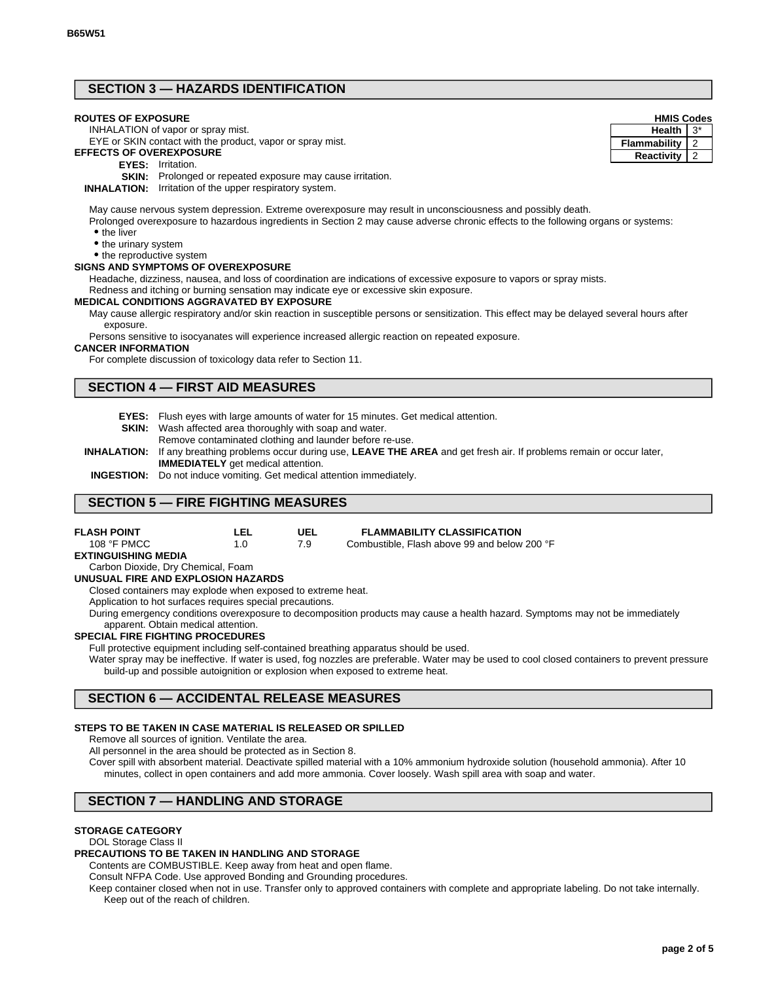## **SECTION 3 — HAZARDS IDENTIFICATION**

#### **ROUTES OF EXPOSURE**

INHALATION of vapor or spray mist.

#### EYE or SKIN contact with the product, vapor or spray mist. **EFFECTS OF OVEREXPOSURE**

- - **EYES:** Irritation.

**SKIN:** Prolonged or repeated exposure may cause irritation.

**INHALATION:** Irritation of the upper respiratory system.

May cause nervous system depression. Extreme overexposure may result in unconsciousness and possibly death.

Prolonged overexposure to hazardous ingredients in Section 2 may cause adverse chronic effects to the following organs or systems: • the liver

• the urinary system

• the reproductive system

### **SIGNS AND SYMPTOMS OF OVEREXPOSURE**

Headache, dizziness, nausea, and loss of coordination are indications of excessive exposure to vapors or spray mists.

Redness and itching or burning sensation may indicate eye or excessive skin exposure.

#### **MEDICAL CONDITIONS AGGRAVATED BY EXPOSURE**

May cause allergic respiratory and/or skin reaction in susceptible persons or sensitization. This effect may be delayed several hours after exposure.

Persons sensitive to isocyanates will experience increased allergic reaction on repeated exposure.

#### **CANCER INFORMATION**

For complete discussion of toxicology data refer to Section 11.

### **SECTION 4 — FIRST AID MEASURES**

- **EYES:** Flush eyes with large amounts of water for 15 minutes. Get medical attention.
- **SKIN:** Wash affected area thoroughly with soap and water.
	- Remove contaminated clothing and launder before re-use.
- **INHALATION:** If any breathing problems occur during use, **LEAVE THE AREA** and get fresh air. If problems remain or occur later, **IMMEDIATELY** get medical attention.
- **INGESTION:** Do not induce vomiting. Get medical attention immediately.

**LEL**

### **SECTION 5 — FIRE FIGHTING MEASURES**

| <b>FLASH POINT</b> |  |
|--------------------|--|
| 108 °F PMCC        |  |

#### **UEL FLAMMABILITY CLASSIFICATION**

7.9 1.0 Combustible, Flash above 99 and below 200 °F

**EXTINGUISHING MEDIA**

#### Carbon Dioxide, Dry Chemical, Foam

#### **UNUSUAL FIRE AND EXPLOSION HAZARDS**

Closed containers may explode when exposed to extreme heat.

Application to hot surfaces requires special precautions.

During emergency conditions overexposure to decomposition products may cause a health hazard. Symptoms may not be immediately apparent. Obtain medical attention.

#### **SPECIAL FIRE FIGHTING PROCEDURES**

Full protective equipment including self-contained breathing apparatus should be used.

Water spray may be ineffective. If water is used, fog nozzles are preferable. Water may be used to cool closed containers to prevent pressure build-up and possible autoignition or explosion when exposed to extreme heat.

### **SECTION 6 — ACCIDENTAL RELEASE MEASURES**

### **STEPS TO BE TAKEN IN CASE MATERIAL IS RELEASED OR SPILLED**

Remove all sources of ignition. Ventilate the area.

All personnel in the area should be protected as in Section 8.

Cover spill with absorbent material. Deactivate spilled material with a 10% ammonium hydroxide solution (household ammonia). After 10 minutes, collect in open containers and add more ammonia. Cover loosely. Wash spill area with soap and water.

# **SECTION 7 — HANDLING AND STORAGE**

### **STORAGE CATEGORY**

### DOL Storage Class II

### **PRECAUTIONS TO BE TAKEN IN HANDLING AND STORAGE**

Contents are COMBUSTIBLE. Keep away from heat and open flame.

Consult NFPA Code. Use approved Bonding and Grounding procedures.

Keep container closed when not in use. Transfer only to approved containers with complete and appropriate labeling. Do not take internally. Keep out of the reach of children.

| <b>HMIS Codes</b>   |    |  |
|---------------------|----|--|
| <b>Health</b>       | 3* |  |
| <b>Flammability</b> |    |  |
| Reactivity          |    |  |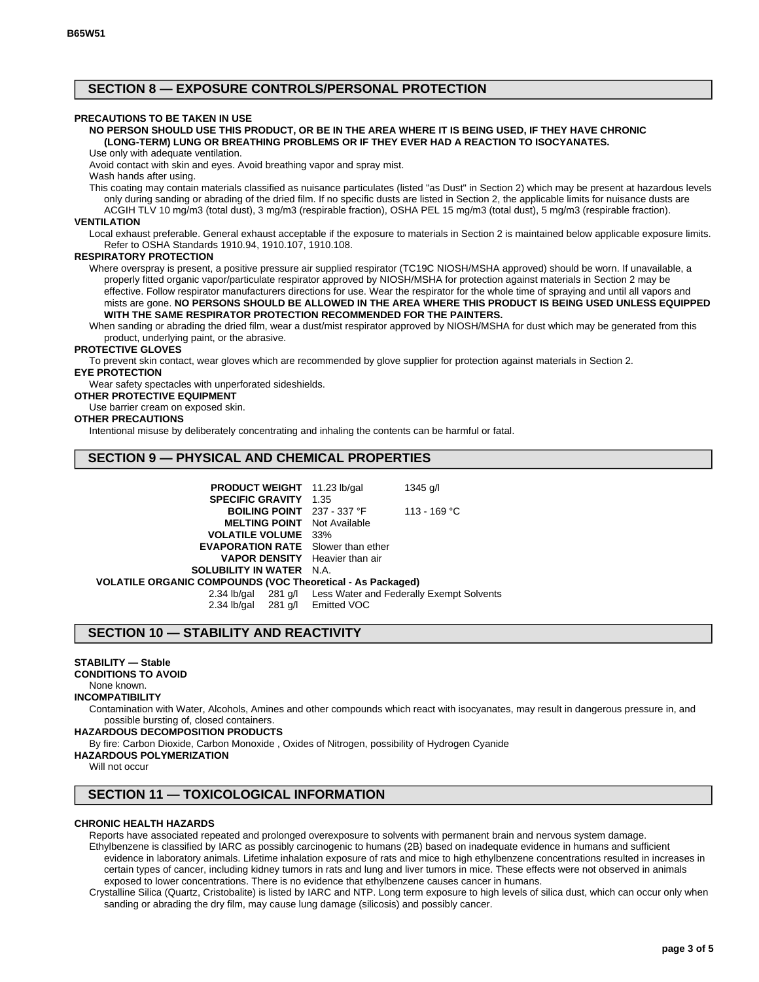### **SECTION 8 — EXPOSURE CONTROLS/PERSONAL PROTECTION**

#### **PRECAUTIONS TO BE TAKEN IN USE**

### **NO PERSON SHOULD USE THIS PRODUCT, OR BE IN THE AREA WHERE IT IS BEING USED, IF THEY HAVE CHRONIC (LONG-TERM) LUNG OR BREATHING PROBLEMS OR IF THEY EVER HAD A REACTION TO ISOCYANATES.**

Use only with adequate ventilation.

Avoid contact with skin and eyes. Avoid breathing vapor and spray mist.

Wash hands after using.

This coating may contain materials classified as nuisance particulates (listed "as Dust" in Section 2) which may be present at hazardous levels only during sanding or abrading of the dried film. If no specific dusts are listed in Section 2, the applicable limits for nuisance dusts are

ACGIH TLV 10 mg/m3 (total dust), 3 mg/m3 (respirable fraction), OSHA PEL 15 mg/m3 (total dust), 5 mg/m3 (respirable fraction).

### **VENTILATION**

Local exhaust preferable. General exhaust acceptable if the exposure to materials in Section 2 is maintained below applicable exposure limits. Refer to OSHA Standards 1910.94, 1910.107, 1910.108.

#### **RESPIRATORY PROTECTION**

Where overspray is present, a positive pressure air supplied respirator (TC19C NIOSH/MSHA approved) should be worn. If unavailable, a properly fitted organic vapor/particulate respirator approved by NIOSH/MSHA for protection against materials in Section 2 may be effective. Follow respirator manufacturers directions for use. Wear the respirator for the whole time of spraying and until all vapors and mists are gone. **NO PERSONS SHOULD BE ALLOWED IN THE AREA WHERE THIS PRODUCT IS BEING USED UNLESS EQUIPPED WITH THE SAME RESPIRATOR PROTECTION RECOMMENDED FOR THE PAINTERS.**

When sanding or abrading the dried film, wear a dust/mist respirator approved by NIOSH/MSHA for dust which may be generated from this product, underlying paint, or the abrasive.

#### **PROTECTIVE GLOVES**

To prevent skin contact, wear gloves which are recommended by glove supplier for protection against materials in Section 2. **EYE PROTECTION**

Wear safety spectacles with unperforated sideshields.

### **OTHER PROTECTIVE EQUIPMENT**

Use barrier cream on exposed skin.

#### **OTHER PRECAUTIONS**

Intentional misuse by deliberately concentrating and inhaling the contents can be harmful or fatal.

### **SECTION 9 — PHYSICAL AND CHEMICAL PROPERTIES**

| <b>PRODUCT WEIGHT</b> 11.23 lb/gal                         |  | 1345 g/l                                                     |  |  |
|------------------------------------------------------------|--|--------------------------------------------------------------|--|--|
| <b>SPECIFIC GRAVITY 1.35</b>                               |  |                                                              |  |  |
| BOILING POINT 237 - 337 °F                                 |  | 113 - 169 °C                                                 |  |  |
| <b>MELTING POINT</b> Not Available                         |  |                                                              |  |  |
| <b>VOLATILE VOLUME</b> 33%                                 |  |                                                              |  |  |
| <b>EVAPORATION RATE</b> Slower than ether                  |  |                                                              |  |  |
| <b>VAPOR DENSITY</b> Heavier than air                      |  |                                                              |  |  |
| <b>SOLUBILITY IN WATER N.A.</b>                            |  |                                                              |  |  |
| VOLATILE ORGANIC COMPOUNDS (VOC Theoretical - As Packaged) |  |                                                              |  |  |
|                                                            |  | 2.34 lb/gal 281 g/l Less Water and Federally Exempt Solvents |  |  |
| 2.34 lb/gal 281 g/l Emitted VOC                            |  |                                                              |  |  |

### **SECTION 10 — STABILITY AND REACTIVITY**

### **STABILITY — Stable**

**CONDITIONS TO AVOID**

### None known.

#### **INCOMPATIBILITY**

Contamination with Water, Alcohols, Amines and other compounds which react with isocyanates, may result in dangerous pressure in, and possible bursting of, closed containers.

#### **HAZARDOUS DECOMPOSITION PRODUCTS**

By fire: Carbon Dioxide, Carbon Monoxide , Oxides of Nitrogen, possibility of Hydrogen Cyanide

#### **HAZARDOUS POLYMERIZATION**

Will not occur

### **SECTION 11 — TOXICOLOGICAL INFORMATION**

#### **CHRONIC HEALTH HAZARDS**

Reports have associated repeated and prolonged overexposure to solvents with permanent brain and nervous system damage. Ethylbenzene is classified by IARC as possibly carcinogenic to humans (2B) based on inadequate evidence in humans and sufficient evidence in laboratory animals. Lifetime inhalation exposure of rats and mice to high ethylbenzene concentrations resulted in increases in certain types of cancer, including kidney tumors in rats and lung and liver tumors in mice. These effects were not observed in animals exposed to lower concentrations. There is no evidence that ethylbenzene causes cancer in humans.

Crystalline Silica (Quartz, Cristobalite) is listed by IARC and NTP. Long term exposure to high levels of silica dust, which can occur only when sanding or abrading the dry film, may cause lung damage (silicosis) and possibly cancer.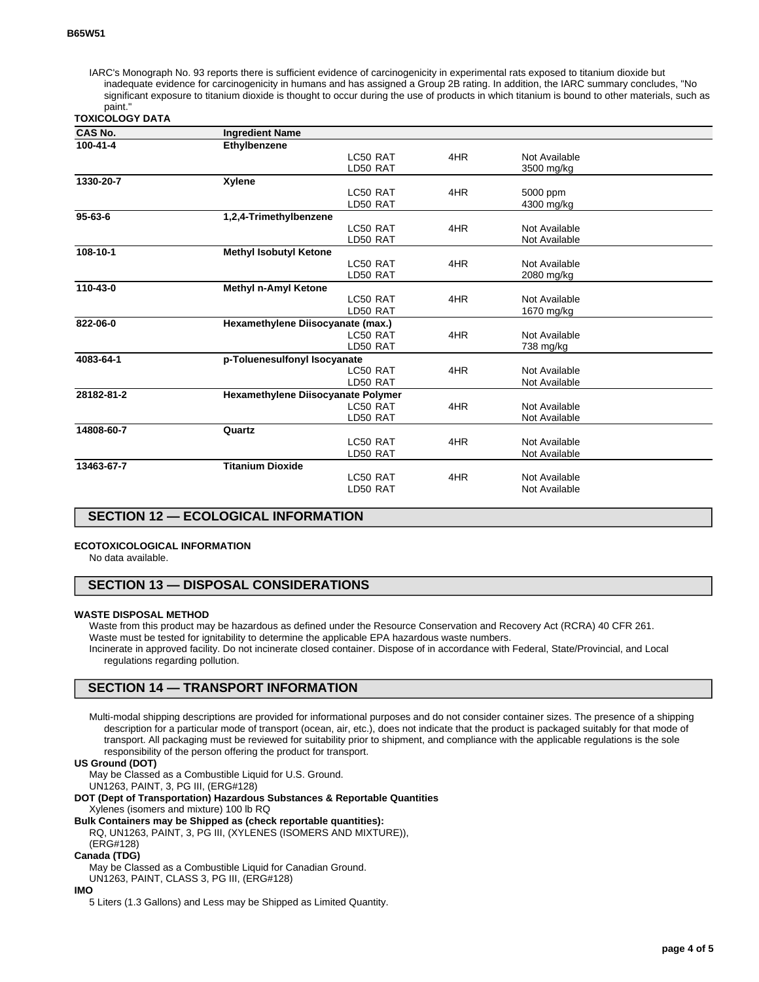IARC's Monograph No. 93 reports there is sufficient evidence of carcinogenicity in experimental rats exposed to titanium dioxide but inadequate evidence for carcinogenicity in humans and has assigned a Group 2B rating. In addition, the IARC summary concludes, "No significant exposure to titanium dioxide is thought to occur during the use of products in which titanium is bound to other materials, such as paint."

| TOXICOLOGY DATA |  |  |
|-----------------|--|--|

| <b>CAS No.</b>                            | <b>Ingredient Name</b>             |                                   |     |               |  |  |
|-------------------------------------------|------------------------------------|-----------------------------------|-----|---------------|--|--|
| 100-41-4                                  | Ethylbenzene                       |                                   |     |               |  |  |
|                                           |                                    | LC50 RAT                          | 4HR | Not Available |  |  |
|                                           |                                    | LD50 RAT                          |     | 3500 mg/kg    |  |  |
| 1330-20-7                                 | Xylene                             |                                   |     |               |  |  |
|                                           |                                    | LC50 RAT                          | 4HR | 5000 ppm      |  |  |
|                                           |                                    | LD50 RAT                          |     | 4300 mg/kg    |  |  |
| $95 - 63 - 6$                             | 1,2,4-Trimethylbenzene             |                                   |     |               |  |  |
|                                           |                                    | LC50 RAT                          | 4HR | Not Available |  |  |
|                                           |                                    | LD50 RAT                          |     | Not Available |  |  |
| 108-10-1                                  | <b>Methyl Isobutyl Ketone</b>      |                                   |     |               |  |  |
|                                           |                                    | LC50 RAT                          | 4HR | Not Available |  |  |
|                                           |                                    | LD50 RAT                          |     | 2080 mg/kg    |  |  |
| 110-43-0                                  | <b>Methyl n-Amyl Ketone</b>        |                                   |     |               |  |  |
|                                           |                                    | LC50 RAT                          | 4HR | Not Available |  |  |
|                                           |                                    | LD50 RAT                          |     | 1670 mg/kg    |  |  |
| 822-06-0                                  |                                    | Hexamethylene Diisocyanate (max.) |     |               |  |  |
|                                           |                                    | LC50 RAT                          | 4HR | Not Available |  |  |
|                                           |                                    | LD50 RAT                          |     | 738 mg/kg     |  |  |
| 4083-64-1<br>p-Toluenesulfonyl Isocyanate |                                    |                                   |     |               |  |  |
|                                           |                                    | LC50 RAT                          | 4HR | Not Available |  |  |
|                                           |                                    | LD50 RAT                          |     | Not Available |  |  |
| 28182-81-2                                | Hexamethylene Diisocyanate Polymer |                                   |     |               |  |  |
|                                           |                                    | LC50 RAT                          | 4HR | Not Available |  |  |
|                                           |                                    | LD50 RAT                          |     | Not Available |  |  |
| 14808-60-7                                | Quartz                             |                                   |     |               |  |  |
|                                           |                                    | LC50 RAT                          | 4HR | Not Available |  |  |
|                                           |                                    | LD50 RAT                          |     | Not Available |  |  |
| 13463-67-7                                | <b>Titanium Dioxide</b>            |                                   |     |               |  |  |
|                                           |                                    | LC50 RAT                          | 4HR | Not Available |  |  |
|                                           |                                    | LD50 RAT                          |     | Not Available |  |  |
|                                           |                                    |                                   |     |               |  |  |

### **SECTION 12 — ECOLOGICAL INFORMATION**

#### **ECOTOXICOLOGICAL INFORMATION**

No data available.

### **SECTION 13 — DISPOSAL CONSIDERATIONS**

#### **WASTE DISPOSAL METHOD**

Waste from this product may be hazardous as defined under the Resource Conservation and Recovery Act (RCRA) 40 CFR 261. Waste must be tested for ignitability to determine the applicable EPA hazardous waste numbers. Incinerate in approved facility. Do not incinerate closed container. Dispose of in accordance with Federal, State/Provincial, and Local regulations regarding pollution.

## **SECTION 14 — TRANSPORT INFORMATION**

Multi-modal shipping descriptions are provided for informational purposes and do not consider container sizes. The presence of a shipping description for a particular mode of transport (ocean, air, etc.), does not indicate that the product is packaged suitably for that mode of transport. All packaging must be reviewed for suitability prior to shipment, and compliance with the applicable regulations is the sole responsibility of the person offering the product for transport.

#### **US Ground (DOT)**

May be Classed as a Combustible Liquid for U.S. Ground.

UN1263, PAINT, 3, PG III, (ERG#128)

**DOT (Dept of Transportation) Hazardous Substances & Reportable Quantities** Xylenes (isomers and mixture) 100 lb RQ

**Bulk Containers may be Shipped as (check reportable quantities):**

RQ, UN1263, PAINT, 3, PG III, (XYLENES (ISOMERS AND MIXTURE)),

(ERG#128)

**Canada (TDG)**

May be Classed as a Combustible Liquid for Canadian Ground.

UN1263, PAINT, CLASS 3, PG III, (ERG#128)

#### **IMO**

5 Liters (1.3 Gallons) and Less may be Shipped as Limited Quantity.